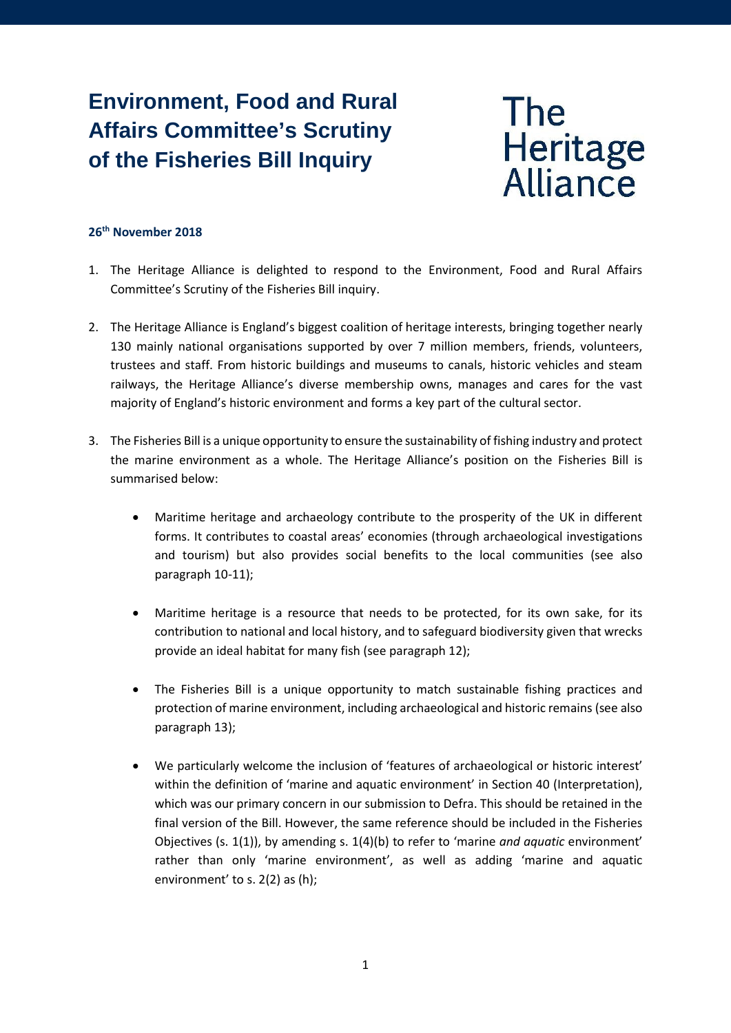# **Environment, Food and Rural Affairs Committee's Scrutiny of the Fisheries Bill Inquiry**



#### **26th November 2018**

- 1. The Heritage Alliance is delighted to respond to the Environment, Food and Rural Affairs Committee's Scrutiny of the Fisheries Bill inquiry.
- 2. The Heritage Alliance is England's biggest coalition of heritage interests, bringing together nearly 130 mainly national organisations supported by over 7 million members, friends, volunteers, trustees and staff. From historic buildings and museums to canals, historic vehicles and steam railways, the Heritage Alliance's diverse membership owns, manages and cares for the vast majority of England's historic environment and forms a key part of the cultural sector.
- 3. The Fisheries Bill is a unique opportunity to ensure the sustainability of fishing industry and protect the marine environment as a whole. The Heritage Alliance's position on the Fisheries Bill is summarised below:
	- Maritime heritage and archaeology contribute to the prosperity of the UK in different forms. It contributes to coastal areas' economies (through archaeological investigations and tourism) but also provides social benefits to the local communities (see also paragraph 10-11);
	- Maritime heritage is a resource that needs to be protected, for its own sake, for its contribution to national and local history, and to safeguard biodiversity given that wrecks provide an ideal habitat for many fish (see paragraph 12);
	- The Fisheries Bill is a unique opportunity to match sustainable fishing practices and protection of marine environment, including archaeological and historic remains (see also paragraph 13);
	- We particularly welcome the inclusion of 'features of archaeological or historic interest' within the definition of 'marine and aquatic environment' in Section 40 (Interpretation), which was our primary concern in our submission to Defra. This should be retained in the final version of the Bill. However, the same reference should be included in the Fisheries Objectives (s. 1(1)), by amending s. 1(4)(b) to refer to 'marine *and aquatic* environment' rather than only 'marine environment', as well as adding 'marine and aquatic environment' to s. 2(2) as (h);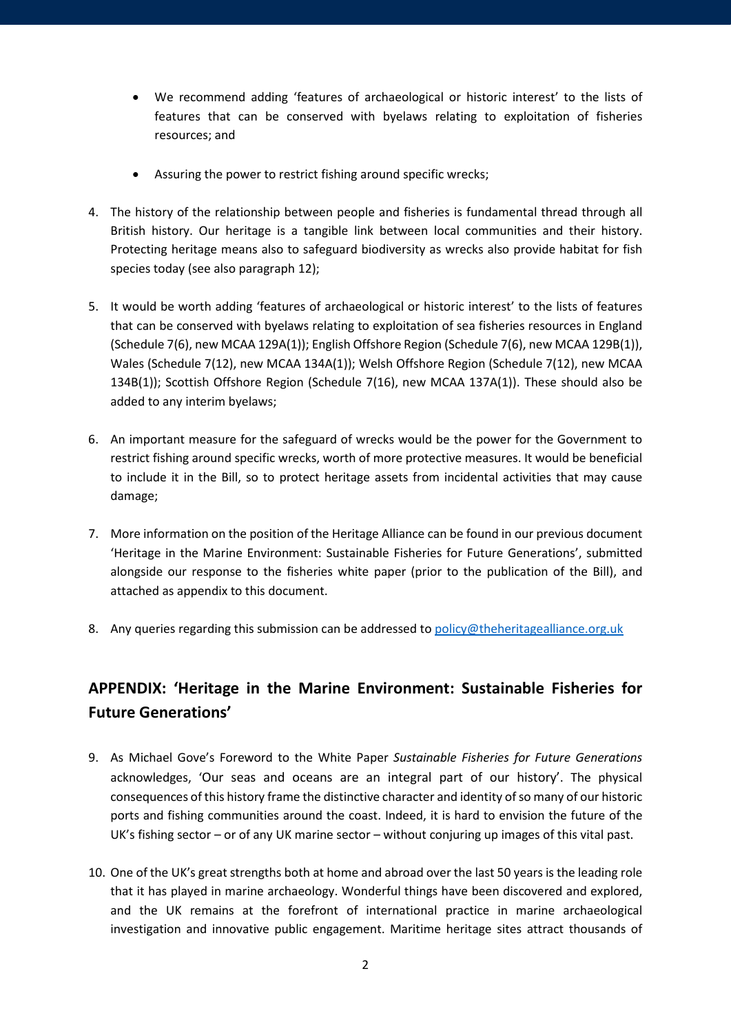- We recommend adding 'features of archaeological or historic interest' to the lists of features that can be conserved with byelaws relating to exploitation of fisheries resources; and
- Assuring the power to restrict fishing around specific wrecks;
- 4. The history of the relationship between people and fisheries is fundamental thread through all British history. Our heritage is a tangible link between local communities and their history. Protecting heritage means also to safeguard biodiversity as wrecks also provide habitat for fish species today (see also paragraph 12);
- 5. It would be worth adding 'features of archaeological or historic interest' to the lists of features that can be conserved with byelaws relating to exploitation of sea fisheries resources in England (Schedule 7(6), new MCAA 129A(1)); English Offshore Region (Schedule 7(6), new MCAA 129B(1)), Wales (Schedule 7(12), new MCAA 134A(1)); Welsh Offshore Region (Schedule 7(12), new MCAA 134B(1)); Scottish Offshore Region (Schedule 7(16), new MCAA 137A(1)). These should also be added to any interim byelaws;
- 6. An important measure for the safeguard of wrecks would be the power for the Government to restrict fishing around specific wrecks, worth of more protective measures. It would be beneficial to include it in the Bill, so to protect heritage assets from incidental activities that may cause damage;
- 7. More information on the position of the Heritage Alliance can be found in our previous document 'Heritage in the Marine Environment: Sustainable Fisheries for Future Generations', submitted alongside our response to the fisheries white paper (prior to the publication of the Bill), and attached as appendix to this document.
- 8. Any queries regarding this submission can be addressed to [policy@theheritagealliance.org.uk](mailto:policy@theheritagealliance.org.uk)

# **APPENDIX: 'Heritage in the Marine Environment: Sustainable Fisheries for Future Generations'**

- 9. As Michael Gove's Foreword to the White Paper *Sustainable Fisheries for Future Generations* acknowledges, 'Our seas and oceans are an integral part of our history'. The physical consequences of this history frame the distinctive character and identity of so many of our historic ports and fishing communities around the coast. Indeed, it is hard to envision the future of the UK's fishing sector – or of any UK marine sector – without conjuring up images of this vital past.
- 10. One of the UK's great strengths both at home and abroad over the last 50 years is the leading role that it has played in marine archaeology. Wonderful things have been discovered and explored, and the UK remains at the forefront of international practice in marine archaeological investigation and innovative public engagement. Maritime heritage sites attract thousands of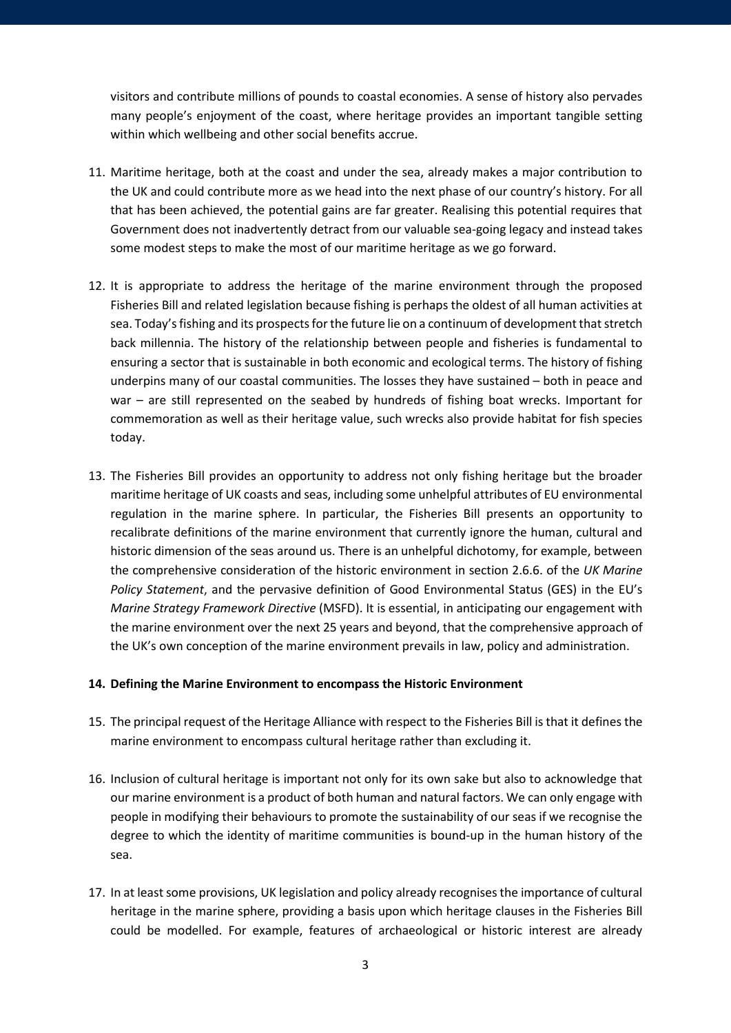visitors and contribute millions of pounds to coastal economies. A sense of history also pervades many people's enjoyment of the coast, where heritage provides an important tangible setting within which wellbeing and other social benefits accrue.

- 11. Maritime heritage, both at the coast and under the sea, already makes a major contribution to the UK and could contribute more as we head into the next phase of our country's history. For all that has been achieved, the potential gains are far greater. Realising this potential requires that Government does not inadvertently detract from our valuable sea-going legacy and instead takes some modest steps to make the most of our maritime heritage as we go forward.
- 12. It is appropriate to address the heritage of the marine environment through the proposed Fisheries Bill and related legislation because fishing is perhaps the oldest of all human activities at sea. Today's fishing and its prospects for the future lie on a continuum of development that stretch back millennia. The history of the relationship between people and fisheries is fundamental to ensuring a sector that is sustainable in both economic and ecological terms. The history of fishing underpins many of our coastal communities. The losses they have sustained – both in peace and war – are still represented on the seabed by hundreds of fishing boat wrecks. Important for commemoration as well as their heritage value, such wrecks also provide habitat for fish species today.
- 13. The Fisheries Bill provides an opportunity to address not only fishing heritage but the broader maritime heritage of UK coasts and seas, including some unhelpful attributes of EU environmental regulation in the marine sphere. In particular, the Fisheries Bill presents an opportunity to recalibrate definitions of the marine environment that currently ignore the human, cultural and historic dimension of the seas around us. There is an unhelpful dichotomy, for example, between the comprehensive consideration of the historic environment in section 2.6.6. of the *UK Marine Policy Statement*, and the pervasive definition of Good Environmental Status (GES) in the EU's *Marine Strategy Framework Directive* (MSFD). It is essential, in anticipating our engagement with the marine environment over the next 25 years and beyond, that the comprehensive approach of the UK's own conception of the marine environment prevails in law, policy and administration.

#### **14. Defining the Marine Environment to encompass the Historic Environment**

- 15. The principal request of the Heritage Alliance with respect to the Fisheries Bill is that it defines the marine environment to encompass cultural heritage rather than excluding it.
- 16. Inclusion of cultural heritage is important not only for its own sake but also to acknowledge that our marine environment is a product of both human and natural factors. We can only engage with people in modifying their behaviours to promote the sustainability of our seas if we recognise the degree to which the identity of maritime communities is bound-up in the human history of the sea.
- 17. In at least some provisions, UK legislation and policy already recognises the importance of cultural heritage in the marine sphere, providing a basis upon which heritage clauses in the Fisheries Bill could be modelled. For example, features of archaeological or historic interest are already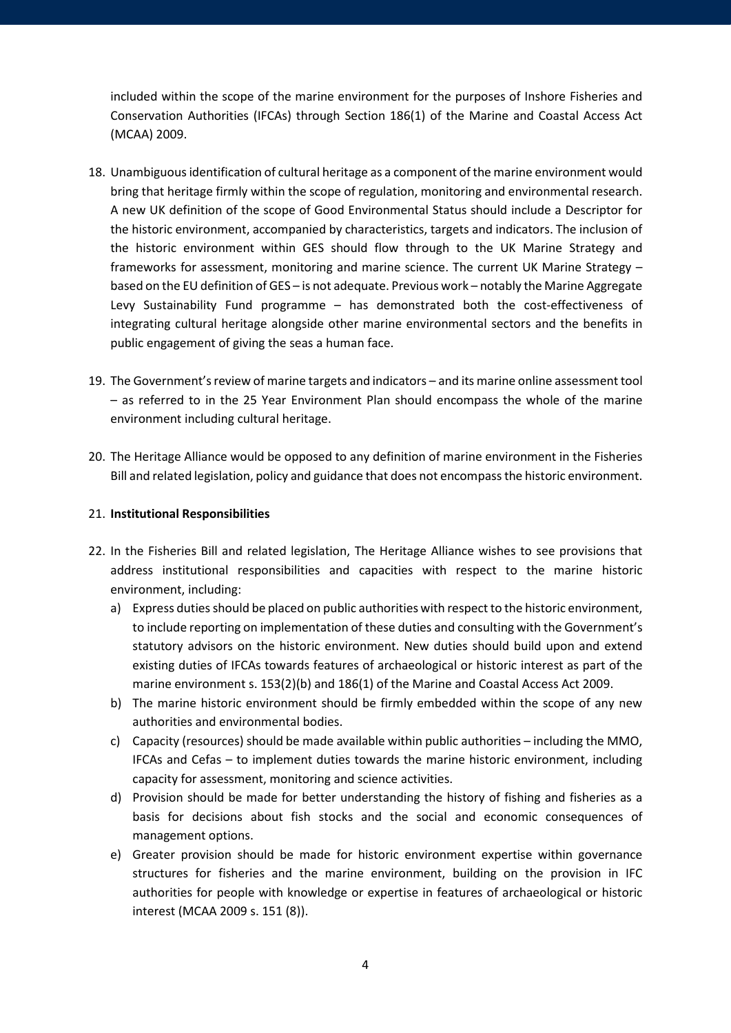included within the scope of the marine environment for the purposes of Inshore Fisheries and Conservation Authorities (IFCAs) through Section 186(1) of the Marine and Coastal Access Act (MCAA) 2009.

- 18. Unambiguous identification of cultural heritage as a component of the marine environment would bring that heritage firmly within the scope of regulation, monitoring and environmental research. A new UK definition of the scope of Good Environmental Status should include a Descriptor for the historic environment, accompanied by characteristics, targets and indicators. The inclusion of the historic environment within GES should flow through to the UK Marine Strategy and frameworks for assessment, monitoring and marine science. The current UK Marine Strategy – based on the EU definition of GES – is not adequate. Previous work – notably the Marine Aggregate Levy Sustainability Fund programme – has demonstrated both the cost-effectiveness of integrating cultural heritage alongside other marine environmental sectors and the benefits in public engagement of giving the seas a human face.
- 19. The Government's review of marine targets and indicators and its marine online assessment tool – as referred to in the 25 Year Environment Plan should encompass the whole of the marine environment including cultural heritage.
- 20. The Heritage Alliance would be opposed to any definition of marine environment in the Fisheries Bill and related legislation, policy and guidance that does not encompass the historic environment.

#### 21. **Institutional Responsibilities**

- 22. In the Fisheries Bill and related legislation, The Heritage Alliance wishes to see provisions that address institutional responsibilities and capacities with respect to the marine historic environment, including:
	- a) Express duties should be placed on public authorities with respect to the historic environment, to include reporting on implementation of these duties and consulting with the Government's statutory advisors on the historic environment. New duties should build upon and extend existing duties of IFCAs towards features of archaeological or historic interest as part of the marine environment s. 153(2)(b) and 186(1) of the Marine and Coastal Access Act 2009.
	- b) The marine historic environment should be firmly embedded within the scope of any new authorities and environmental bodies.
	- c) Capacity (resources) should be made available within public authorities including the MMO, IFCAs and Cefas – to implement duties towards the marine historic environment, including capacity for assessment, monitoring and science activities.
	- d) Provision should be made for better understanding the history of fishing and fisheries as a basis for decisions about fish stocks and the social and economic consequences of management options.
	- e) Greater provision should be made for historic environment expertise within governance structures for fisheries and the marine environment, building on the provision in IFC authorities for people with knowledge or expertise in features of archaeological or historic interest (MCAA 2009 s. 151 (8)).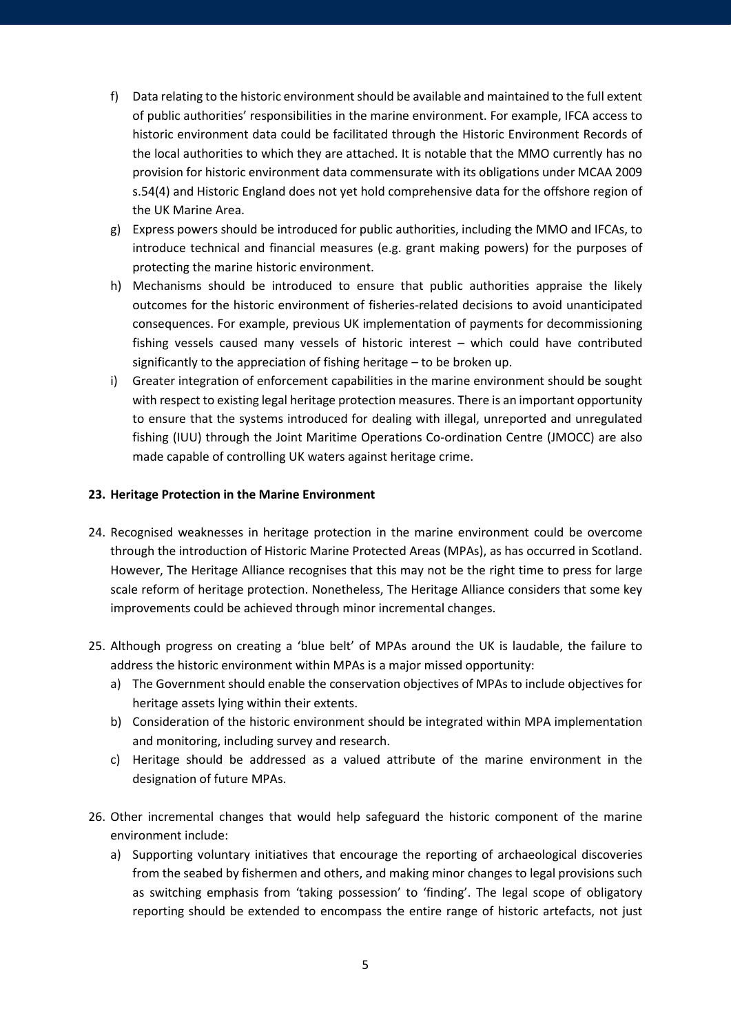- f) Data relating to the historic environment should be available and maintained to the full extent of public authorities' responsibilities in the marine environment. For example, IFCA access to historic environment data could be facilitated through the Historic Environment Records of the local authorities to which they are attached. It is notable that the MMO currently has no provision for historic environment data commensurate with its obligations under MCAA 2009 s.54(4) and Historic England does not yet hold comprehensive data for the offshore region of the UK Marine Area.
- g) Express powers should be introduced for public authorities, including the MMO and IFCAs, to introduce technical and financial measures (e.g. grant making powers) for the purposes of protecting the marine historic environment.
- h) Mechanisms should be introduced to ensure that public authorities appraise the likely outcomes for the historic environment of fisheries-related decisions to avoid unanticipated consequences. For example, previous UK implementation of payments for decommissioning fishing vessels caused many vessels of historic interest – which could have contributed significantly to the appreciation of fishing heritage – to be broken up.
- i) Greater integration of enforcement capabilities in the marine environment should be sought with respect to existing legal heritage protection measures. There is an important opportunity to ensure that the systems introduced for dealing with illegal, unreported and unregulated fishing (IUU) through the Joint Maritime Operations Co-ordination Centre (JMOCC) are also made capable of controlling UK waters against heritage crime.

#### **23. Heritage Protection in the Marine Environment**

- 24. Recognised weaknesses in heritage protection in the marine environment could be overcome through the introduction of Historic Marine Protected Areas (MPAs), as has occurred in Scotland. However, The Heritage Alliance recognises that this may not be the right time to press for large scale reform of heritage protection. Nonetheless, The Heritage Alliance considers that some key improvements could be achieved through minor incremental changes.
- 25. Although progress on creating a 'blue belt' of MPAs around the UK is laudable, the failure to address the historic environment within MPAs is a major missed opportunity:
	- a) The Government should enable the conservation objectives of MPAs to include objectives for heritage assets lying within their extents.
	- b) Consideration of the historic environment should be integrated within MPA implementation and monitoring, including survey and research.
	- c) Heritage should be addressed as a valued attribute of the marine environment in the designation of future MPAs.
- 26. Other incremental changes that would help safeguard the historic component of the marine environment include:
	- a) Supporting voluntary initiatives that encourage the reporting of archaeological discoveries from the seabed by fishermen and others, and making minor changes to legal provisions such as switching emphasis from 'taking possession' to 'finding'. The legal scope of obligatory reporting should be extended to encompass the entire range of historic artefacts, not just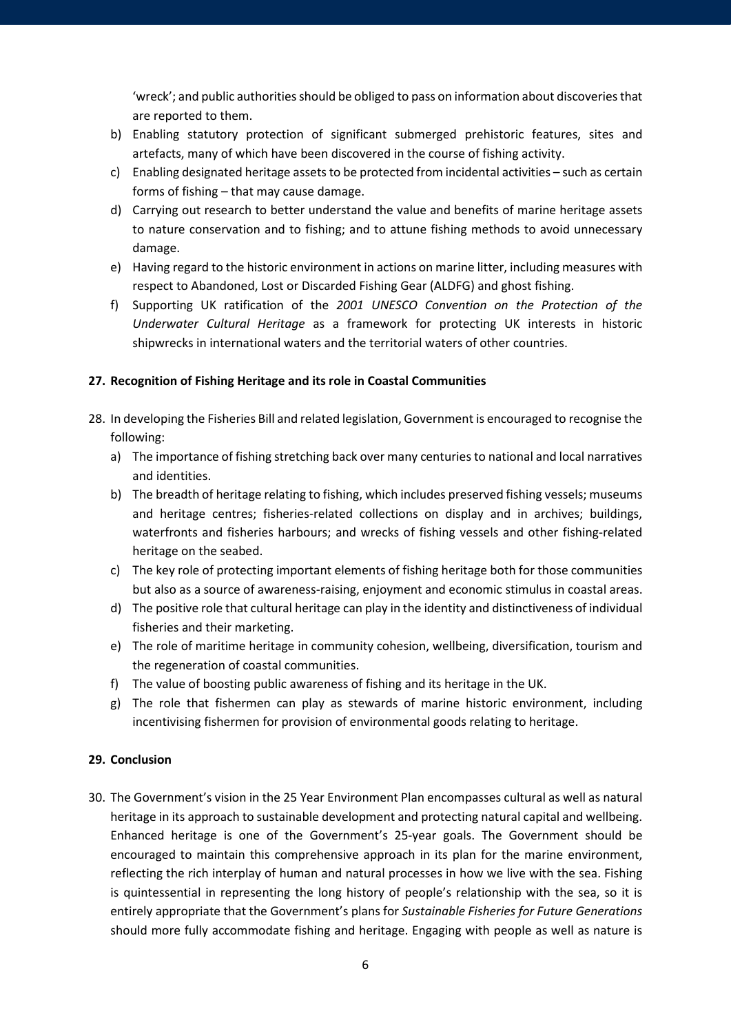'wreck'; and public authorities should be obliged to pass on information about discoveries that are reported to them.

- b) Enabling statutory protection of significant submerged prehistoric features, sites and artefacts, many of which have been discovered in the course of fishing activity.
- c) Enabling designated heritage assets to be protected from incidental activities such as certain forms of fishing – that may cause damage.
- d) Carrying out research to better understand the value and benefits of marine heritage assets to nature conservation and to fishing; and to attune fishing methods to avoid unnecessary damage.
- e) Having regard to the historic environment in actions on marine litter, including measures with respect to Abandoned, Lost or Discarded Fishing Gear (ALDFG) and ghost fishing.
- f) Supporting UK ratification of the *2001 UNESCO Convention on the Protection of the Underwater Cultural Heritage* as a framework for protecting UK interests in historic shipwrecks in international waters and the territorial waters of other countries.

## **27. Recognition of Fishing Heritage and its role in Coastal Communities**

- 28. In developing the Fisheries Bill and related legislation, Government is encouraged to recognise the following:
	- a) The importance of fishing stretching back over many centuries to national and local narratives and identities.
	- b) The breadth of heritage relating to fishing, which includes preserved fishing vessels; museums and heritage centres; fisheries-related collections on display and in archives; buildings, waterfronts and fisheries harbours; and wrecks of fishing vessels and other fishing-related heritage on the seabed.
	- c) The key role of protecting important elements of fishing heritage both for those communities but also as a source of awareness-raising, enjoyment and economic stimulus in coastal areas.
	- d) The positive role that cultural heritage can play in the identity and distinctiveness of individual fisheries and their marketing.
	- e) The role of maritime heritage in community cohesion, wellbeing, diversification, tourism and the regeneration of coastal communities.
	- f) The value of boosting public awareness of fishing and its heritage in the UK.
	- g) The role that fishermen can play as stewards of marine historic environment, including incentivising fishermen for provision of environmental goods relating to heritage.

## **29. Conclusion**

30. The Government's vision in the 25 Year Environment Plan encompasses cultural as well as natural heritage in its approach to sustainable development and protecting natural capital and wellbeing. Enhanced heritage is one of the Government's 25-year goals. The Government should be encouraged to maintain this comprehensive approach in its plan for the marine environment, reflecting the rich interplay of human and natural processes in how we live with the sea. Fishing is quintessential in representing the long history of people's relationship with the sea, so it is entirely appropriate that the Government's plans for *Sustainable Fisheries for Future Generations* should more fully accommodate fishing and heritage. Engaging with people as well as nature is